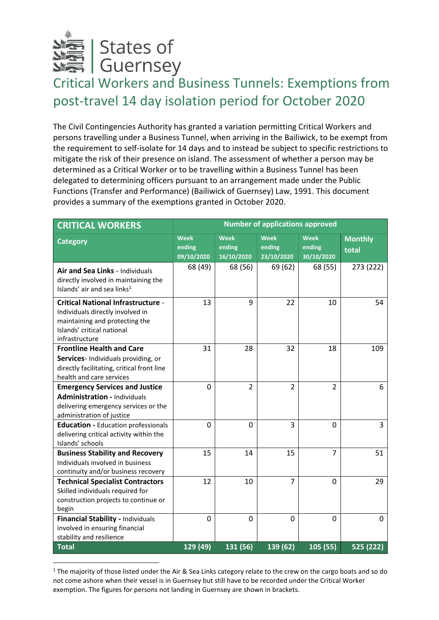

**.** 

## Critical Workers and Business Tunnels: Exemptions from post-travel 14 day isolation period for October 2020

The Civil Contingencies Authority has granted a variation permitting Critical Workers and persons travelling under a Business Tunnel, when arriving in the Bailiwick, to be exempt from the requirement to self-isolate for 14 days and to instead be subject to specific restrictions to mitigate the risk of their presence on island. The assessment of whether a person may be determined as a Critical Worker or to be travelling within a Business Tunnel has been delegated to determining officers pursuant to an arrangement made under the Public Functions (Transfer and Performance) (Bailiwick of Guernsey) Law, 1991. This document provides a summary of the exemptions granted in October 2020.

| <b>CRITICAL WORKERS</b>                                     | <b>Number of applications approved</b> |                |                |                |                |  |  |
|-------------------------------------------------------------|----------------------------------------|----------------|----------------|----------------|----------------|--|--|
| <b>Category</b>                                             | <b>Week</b>                            | <b>Week</b>    | <b>Week</b>    | <b>Week</b>    | <b>Monthly</b> |  |  |
|                                                             | ending                                 | ending         | ending         | ending         | total          |  |  |
|                                                             | 09/10/2020                             | 16/10/2020     | 23/10/2020     | 30/10/2020     |                |  |  |
| Air and Sea Links - Individuals                             | 68 (49)                                | 68 (56)        | 69 (62)        | 68 (55)        | 273 (222)      |  |  |
| directly involved in maintaining the                        |                                        |                |                |                |                |  |  |
| Islands' air and sea links <sup>1</sup>                     |                                        |                |                |                |                |  |  |
| <b>Critical National Infrastructure -</b>                   | 13                                     | 9              | 22             | 10             | 54             |  |  |
| Individuals directly involved in                            |                                        |                |                |                |                |  |  |
| maintaining and protecting the                              |                                        |                |                |                |                |  |  |
| Islands' critical national<br>infrastructure                |                                        |                |                |                |                |  |  |
| <b>Frontline Health and Care</b>                            | 31                                     | 28             | 32             | 18             | 109            |  |  |
| Services- Individuals providing, or                         |                                        |                |                |                |                |  |  |
| directly facilitating, critical front line                  |                                        |                |                |                |                |  |  |
| health and care services                                    |                                        |                |                |                |                |  |  |
| <b>Emergency Services and Justice</b>                       | 0                                      | $\overline{2}$ | $\overline{2}$ | $\overline{2}$ | 6              |  |  |
| <b>Administration - Individuals</b>                         |                                        |                |                |                |                |  |  |
| delivering emergency services or the                        |                                        |                |                |                |                |  |  |
| administration of justice                                   |                                        |                |                |                |                |  |  |
| <b>Education - Education professionals</b>                  | $\mathbf 0$                            | $\overline{0}$ | 3              | 0              | 3              |  |  |
| delivering critical activity within the<br>Islands' schools |                                        |                |                |                |                |  |  |
| <b>Business Stability and Recovery</b>                      | 15                                     | 14             | 15             | $\overline{7}$ | 51             |  |  |
| Individuals involved in business                            |                                        |                |                |                |                |  |  |
| continuity and/or business recovery                         |                                        |                |                |                |                |  |  |
| <b>Technical Specialist Contractors</b>                     | 12                                     | 10             | $\overline{7}$ | 0              | 29             |  |  |
| Skilled individuals required for                            |                                        |                |                |                |                |  |  |
| construction projects to continue or                        |                                        |                |                |                |                |  |  |
| begin<br>Financial Stability - Individuals                  | 0                                      | $\mathbf 0$    | $\mathbf 0$    | $\overline{0}$ | 0              |  |  |
| involved in ensuring financial                              |                                        |                |                |                |                |  |  |
| stability and resilience                                    |                                        |                |                |                |                |  |  |
| Total                                                       | 129 (49)                               | 131 (56)       | 139 (62)       | 105 (55)       | 525 (222)      |  |  |

<sup>&</sup>lt;sup>1</sup> The majority of those listed under the Air & Sea Links category relate to the crew on the cargo boats and so do not come ashore when their vessel is in Guernsey but still have to be recorded under the Critical Worker exemption. The figures for persons not landing in Guernsey are shown in brackets.